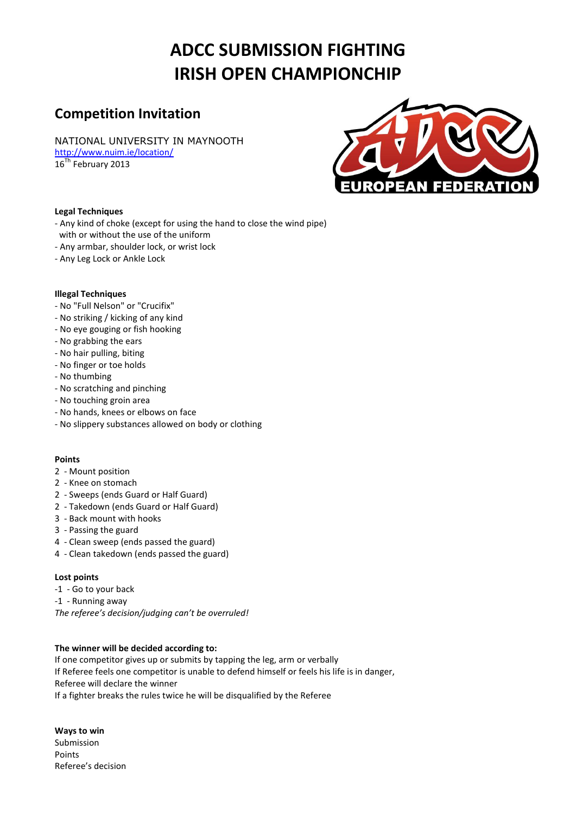# **ADCC SUBMISSION FIGHTING IRISH OPEN CHAMPIONCHIP**

## **Competition Invitation**

NATIONAL UNIVERSITY IN MAYNOOTH

<http://www.nuim.ie/location/> 16<sup>Th</sup> February 2013



#### **Legal Techniques**

- Any kind of choke (except for using the hand to close the wind pipe)
- with or without the use of the uniform
- Any armbar, shoulder lock, or wrist lock
- Any Leg Lock or Ankle Lock

#### **Illegal Techniques**

- No "Full Nelson" or "Crucifix"
- No striking / kicking of any kind
- No eye gouging or fish hooking
- No grabbing the ears
- No hair pulling, biting
- No finger or toe holds
- No thumbing
- No scratching and pinching
- No touching groin area
- No hands, knees or elbows on face
- No slippery substances allowed on body or clothing

#### **Points**

- 2 Mount position
- 2 Knee on stomach
- 2 Sweeps (ends Guard or Half Guard)
- 2 Takedown (ends Guard or Half Guard)
- 3 Back mount with hooks
- 3 Passing the guard
- 4 Clean sweep (ends passed the guard)
- 4 Clean takedown (ends passed the guard)

#### **Lost points**

- -1 Go to your back
- -1 Running away

*The referee's decision/judging can't be overruled!*

#### **The winner will be decided according to:**

If one competitor gives up or submits by tapping the leg, arm or verbally If Referee feels one competitor is unable to defend himself or feels his life is in danger, Referee will declare the winner If a fighter breaks the rules twice he will be disqualified by the Referee

**Ways to win**  Submission Points Referee's decision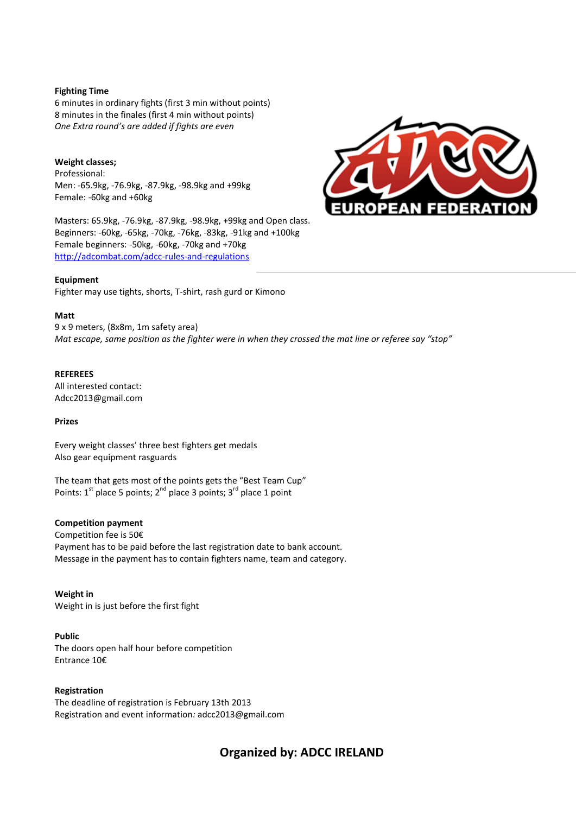#### **Fighting Time**

6 minutes in ordinary fights (first 3 min without points) 8 minutes in the finales (first 4 min without points) *One Extra round's are added if fights are even*

#### **Weight classes;**

Professional: Men: -65.9kg, -76.9kg, -87.9kg, -98.9kg and +99kg Female: -60kg and +60kg

Masters: 65.9kg, -76.9kg, -87.9kg, -98.9kg, +99kg and Open class. Beginners: -60kg, -65kg, -70kg, -76kg, -83kg, -91kg and +100kg Female beginners: -50kg, -60kg, -70kg and +70kg <http://adcombat.com/adcc-rules-and-regulations>

#### **Equipment**

Fighter may use tights, shorts, T-shirt, rash gurd or Kimono

#### **Matt**

9 x 9 meters, (8x8m, 1m safety area) *Mat escape, same position as the fighter were in when they crossed the mat line or referee say "stop"*

#### **REFEREES**

All interested contact: Adcc2013@gmail.com

#### **Prizes**

Every weight classes' three best fighters get medals Also gear equipment rasguards

The team that gets most of the points gets the "Best Team Cup" Points:  $1<sup>st</sup>$  place 5 points;  $2<sup>nd</sup>$  place 3 points;  $3<sup>rd</sup>$  place 1 point

#### **Competition payment**

Competition fee is 50€ Payment has to be paid before the last registration date to bank account. Message in the payment has to contain fighters name, team and category.

**Weight in** Weight in is just before the first fight

**Public**  The doors open half hour before competition Entrance 10€

#### **Registration**

The deadline of registration is February 13th 2013 Registration and event information*:* adcc2013@gmail.com



### **Organized by: ADCC IRELAND**